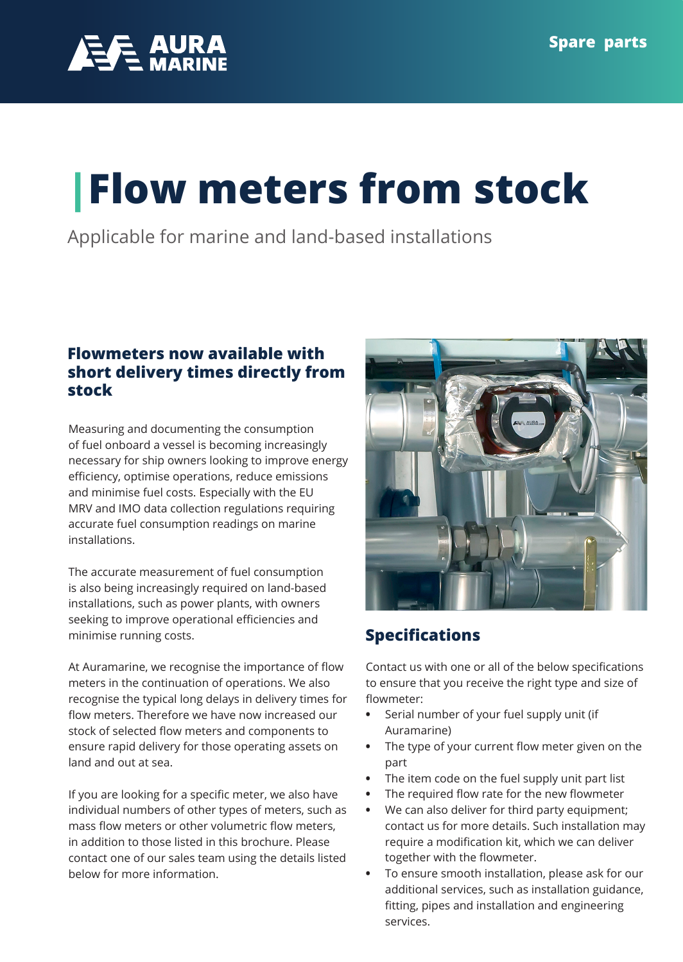

# **|Flow meters from stock**

Applicable for marine and land-based installations

### **Flowmeters now available with short delivery times directly from stock**

Measuring and documenting the consumption of fuel onboard a vessel is becoming increasingly necessary for ship owners looking to improve energy efficiency, optimise operations, reduce emissions and minimise fuel costs. Especially with the EU MRV and IMO data collection regulations requiring accurate fuel consumption readings on marine installations.

The accurate measurement of fuel consumption is also being increasingly required on land-based installations, such as power plants, with owners seeking to improve operational efficiencies and minimise running costs.

At Auramarine, we recognise the importance of flow meters in the continuation of operations. We also recognise the typical long delays in delivery times for flow meters. Therefore we have now increased our stock of selected flow meters and components to ensure rapid delivery for those operating assets on land and out at sea.

If you are looking for a specific meter, we also have individual numbers of other types of meters, such as mass flow meters or other volumetric flow meters, in addition to those listed in this brochure. Please contact one of our sales team using the details listed below for more information.



## **Specifications**

Contact us with one or all of the below specifications to ensure that you receive the right type and size of flowmeter:

- **•** Serial number of your fuel supply unit (if Auramarine)
- **•** The type of your current flow meter given on the part
- **•** The item code on the fuel supply unit part list
- **•** The required flow rate for the new flowmeter
- **•** We can also deliver for third party equipment; contact us for more details. Such installation may require a modification kit, which we can deliver together with the flowmeter.
- **•** To ensure smooth installation, please ask for our additional services, such as installation guidance, fitting, pipes and installation and engineering services.